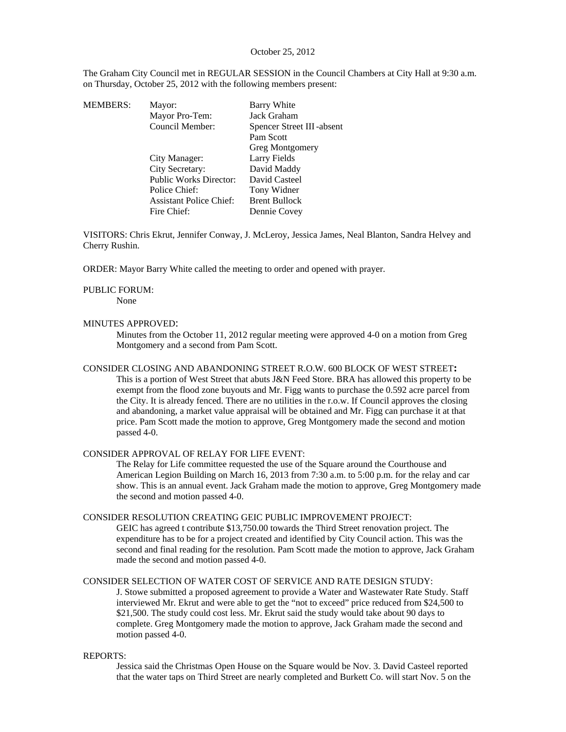# October 25, 2012

The Graham City Council met in REGULAR SESSION in the Council Chambers at City Hall at 9:30 a.m. on Thursday, October 25, 2012 with the following members present:

| MEMBERS: | Mayor:                         | Barry White               |
|----------|--------------------------------|---------------------------|
|          | Mayor Pro-Tem:                 | Jack Graham               |
|          | Council Member:                | Spencer Street III-absent |
|          |                                | Pam Scott                 |
|          |                                | <b>Greg Montgomery</b>    |
|          | City Manager:                  | Larry Fields              |
|          | City Secretary:                | David Maddy               |
|          | <b>Public Works Director:</b>  | David Casteel             |
|          | Police Chief:                  | Tony Widner               |
|          | <b>Assistant Police Chief:</b> | <b>Brent Bullock</b>      |
|          | Fire Chief:                    | Dennie Covey              |
|          |                                |                           |

VISITORS: Chris Ekrut, Jennifer Conway, J. McLeroy, Jessica James, Neal Blanton, Sandra Helvey and Cherry Rushin.

ORDER: Mayor Barry White called the meeting to order and opened with prayer.

#### PUBLIC FORUM:

None

### MINUTES APPROVED:

Minutes from the October 11, 2012 regular meeting were approved 4-0 on a motion from Greg Montgomery and a second from Pam Scott.

#### CONSIDER CLOSING AND ABANDONING STREET R.O.W. 600 BLOCK OF WEST STREET**:**

This is a portion of West Street that abuts J&N Feed Store. BRA has allowed this property to be exempt from the flood zone buyouts and Mr. Figg wants to purchase the 0.592 acre parcel from the City. It is already fenced. There are no utilities in the r.o.w. If Council approves the closing and abandoning, a market value appraisal will be obtained and Mr. Figg can purchase it at that price. Pam Scott made the motion to approve, Greg Montgomery made the second and motion passed 4-0.

# CONSIDER APPROVAL OF RELAY FOR LIFE EVENT:

The Relay for Life committee requested the use of the Square around the Courthouse and American Legion Building on March 16, 2013 from 7:30 a.m. to 5:00 p.m. for the relay and car show. This is an annual event. Jack Graham made the motion to approve, Greg Montgomery made the second and motion passed 4-0.

#### CONSIDER RESOLUTION CREATING GEIC PUBLIC IMPROVEMENT PROJECT:

GEIC has agreed t contribute \$13,750.00 towards the Third Street renovation project. The expenditure has to be for a project created and identified by City Council action. This was the second and final reading for the resolution. Pam Scott made the motion to approve, Jack Graham made the second and motion passed 4-0.

# CONSIDER SELECTION OF WATER COST OF SERVICE AND RATE DESIGN STUDY:

J. Stowe submitted a proposed agreement to provide a Water and Wastewater Rate Study. Staff interviewed Mr. Ekrut and were able to get the "not to exceed" price reduced from \$24,500 to \$21,500. The study could cost less. Mr. Ekrut said the study would take about 90 days to complete. Greg Montgomery made the motion to approve, Jack Graham made the second and motion passed 4-0.

### REPORTS:

Jessica said the Christmas Open House on the Square would be Nov. 3. David Casteel reported that the water taps on Third Street are nearly completed and Burkett Co. will start Nov. 5 on the